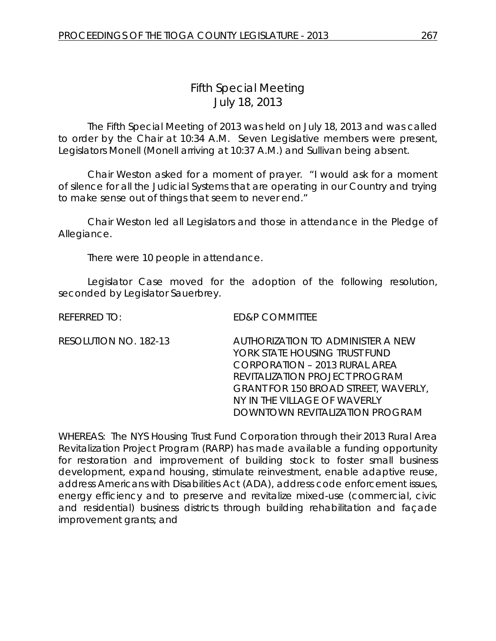## *Fifth Special Meeting* July 18, 2013

The Fifth Special Meeting of 2013 was held on July 18, 2013 and was called to order by the Chair at 10:34 A.M. Seven Legislative members were present, Legislators Monell (Monell arriving at 10:37 A.M.) and Sullivan being absent.

Chair Weston asked for a moment of prayer. "I would ask for a moment of silence for all the Judicial Systems that are operating in our Country and trying to make sense out of things that seem to never end."

Chair Weston led all Legislators and those in attendance in the Pledge of Allegiance.

There were 10 people in attendance.

Legislator Case moved for the adoption of the following resolution, seconded by Legislator Sauerbrey.

REFERRED TO: ED&P COMMITTEE

RESOLUTION NO. 182-13 *AUTHORIZATION TO ADMINISTER A NEW YORK STATE HOUSING TRUST FUND CORPORATION – 2013 RURAL AREA REVITALIZATION PROJECT PROGRAM GRANT FOR 150 BROAD STREET, WAVERLY, NY IN THE VILLAGE OF WAVERLY DOWNTOWN REVITALIZATION PROGRAM*

WHEREAS: The NYS Housing Trust Fund Corporation through their 2013 Rural Area Revitalization Project Program (RARP) has made available a funding opportunity for restoration and improvement of building stock to foster small business development, expand housing, stimulate reinvestment, enable adaptive reuse, address Americans with Disabilities Act (ADA), address code enforcement issues, energy efficiency and to preserve and revitalize mixed-use (commercial, civic and residential) business districts through building rehabilitation and façade improvement grants; and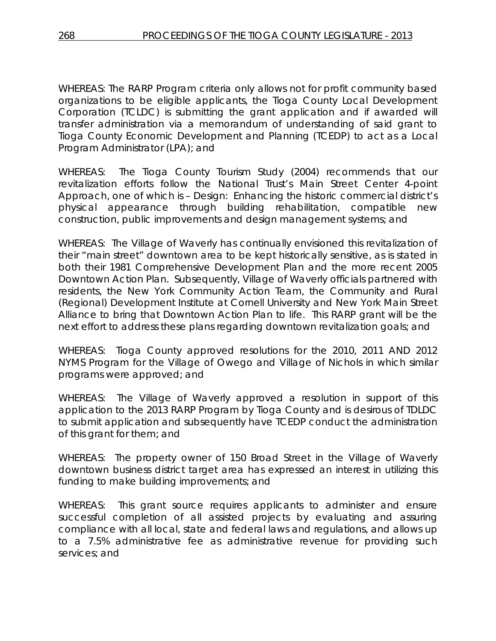WHEREAS: The RARP Program criteria only allows not for profit community based organizations to be eligible applicants, the Tioga County Local Development Corporation (TCLDC) is submitting the grant application and if awarded will transfer administration via a memorandum of understanding of said grant to Tioga County Economic Development and Planning (TCEDP) to act as a Local Program Administrator (LPA); and

WHEREAS: The Tioga County Tourism Study (2004) recommends that our revitalization efforts follow the National Trust's Main Street Center 4-point Approach, one of which is – Design: Enhancing the historic commercial district's physical appearance through building rehabilitation, compatible new construction, public improvements and design management systems; and

WHEREAS: The Village of Waverly has continually envisioned this revitalization of their "main street" downtown area to be kept historically sensitive, as is stated in both their 1981 Comprehensive Development Plan and the more recent 2005 Downtown Action Plan. Subsequently, Village of Waverly officials partnered with residents, the New York Community Action Team, the Community and Rural (Regional) Development Institute at Cornell University and New York Main Street Alliance to bring that Downtown Action Plan to life. This RARP grant will be the next effort to address these plans regarding downtown revitalization goals; and

WHEREAS: Tioga County approved resolutions for the 2010, 2011 AND 2012 NYMS Program for the Village of Owego and Village of Nichols in which similar programs were approved; and

WHEREAS: The Village of Waverly approved a resolution in support of this application to the 2013 RARP Program by Tioga County and is desirous of TDLDC to submit application and subsequently have TCEDP conduct the administration of this grant for them; and

WHEREAS: The property owner of 150 Broad Street in the Village of Waverly downtown business district target area has expressed an interest in utilizing this funding to make building improvements; and

WHEREAS: This grant source requires applicants to administer and ensure successful completion of all assisted projects by evaluating and assuring compliance with all local, state and federal laws and regulations, and allows up to a 7.5% administrative fee as administrative revenue for providing such services; and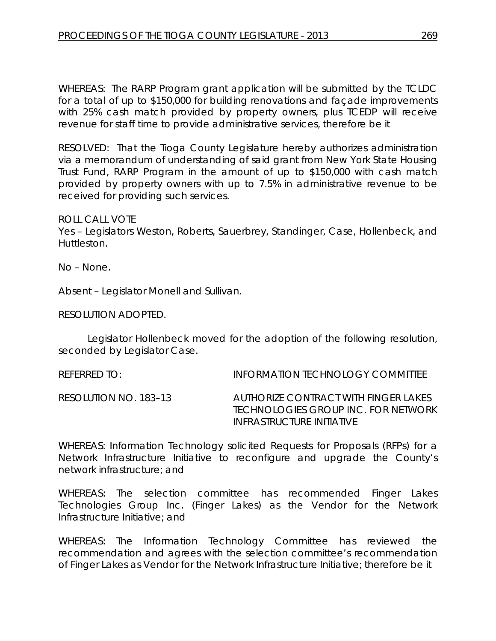WHEREAS: The RARP Program grant application will be submitted by the TCLDC for a total of up to \$150,000 for building renovations and façade improvements with 25% cash match provided by property owners, plus TCEDP will receive revenue for staff time to provide administrative services, therefore be it

RESOLVED: That the Tioga County Legislature hereby authorizes administration via a memorandum of understanding of said grant from New York State Housing Trust Fund, RARP Program in the amount of up to \$150,000 with cash match provided by property owners with up to 7.5% in administrative revenue to be received for providing such services.

## ROLL CALL VOTE

Yes – Legislators Weston, Roberts, Sauerbrey, Standinger, Case, Hollenbeck, and Huttleston.

No – None.

Absent – Legislator Monell and Sullivan.

RESOLUTION ADOPTED.

Legislator Hollenbeck moved for the adoption of the following resolution, seconded by Legislator Case.

REFERRED TO: INFORMATION TECHNOLOGY COMMITTEE

RESOLUTION NO. 183–13 *AUTHORIZE CONTRACT WITH FINGER LAKES TECHNOLOGIES GROUP INC. FOR NETWORK INFRASTRUCTURE INITIATIVE*

WHEREAS: Information Technology solicited Requests for Proposals (RFPs) for a Network Infrastructure Initiative to reconfigure and upgrade the County's network infrastructure; and

WHEREAS: The selection committee has recommended Finger Lakes Technologies Group Inc. (Finger Lakes) as the Vendor for the Network Infrastructure Initiative; and

WHEREAS: The Information Technology Committee has reviewed the recommendation and agrees with the selection committee's recommendation of Finger Lakes as Vendor for the Network Infrastructure Initiative; therefore be it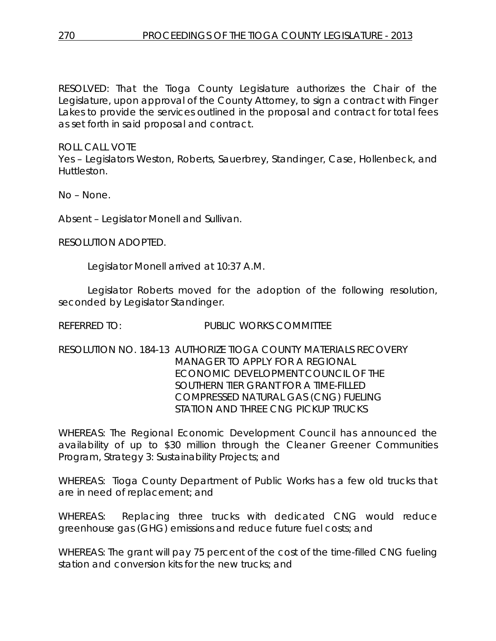RESOLVED: That the Tioga County Legislature authorizes the Chair of the Legislature, upon approval of the County Attorney, to sign a contract with Finger Lakes to provide the services outlined in the proposal and contract for total fees as set forth in said proposal and contract.

ROLL CALL VOTE

Yes – Legislators Weston, Roberts, Sauerbrey, Standinger, Case, Hollenbeck, and Huttleston.

No – None.

Absent – Legislator Monell and Sullivan.

RESOLUTION ADOPTED.

Legislator Monell arrived at 10:37 A.M.

Legislator Roberts moved for the adoption of the following resolution, seconded by Legislator Standinger.

REFERRED TO: PUBLIC WORKS COMMITTEE

RESOLUTION NO. 184-13 *AUTHORIZE TIOGA COUNTY MATERIALS RECOVERY MANAGER TO APPLY FOR A REGIONAL ECONOMIC DEVELOPMENT COUNCIL OF THE SOUTHERN TIER GRANT FOR A TIME-FILLED COMPRESSED NATURAL GAS (CNG) FUELING STATION AND THREE CNG PICKUP TRUCKS*

WHEREAS: The Regional Economic Development Council has announced the availability of up to \$30 million through the Cleaner Greener Communities Program, Strategy 3: Sustainability Projects; and

WHEREAS: Tioga County Department of Public Works has a few old trucks that are in need of replacement; and

WHEREAS: Replacing three trucks with dedicated CNG would reduce greenhouse gas (GHG) emissions and reduce future fuel costs; and

WHEREAS: The grant will pay 75 percent of the cost of the time-filled CNG fueling station and conversion kits for the new trucks; and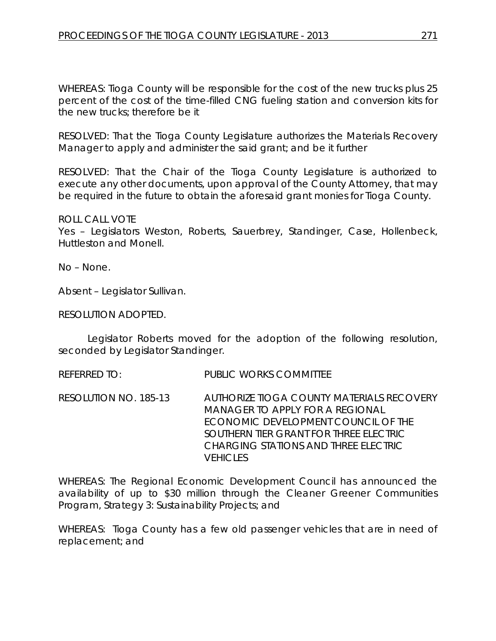WHEREAS: Tioga County will be responsible for the cost of the new trucks plus 25 percent of the cost of the time-filled CNG fueling station and conversion kits for the new trucks; therefore be it

RESOLVED: That the Tioga County Legislature authorizes the Materials Recovery Manager to apply and administer the said grant; and be it further

RESOLVED: That the Chair of the Tioga County Legislature is authorized to execute any other documents, upon approval of the County Attorney, that may be required in the future to obtain the aforesaid grant monies for Tioga County.

## ROLL CALL VOTE

Yes – Legislators Weston, Roberts, Sauerbrey, Standinger, Case, Hollenbeck, Huttleston and Monell.

No – None.

Absent – Legislator Sullivan.

RESOLUTION ADOPTED.

Legislator Roberts moved for the adoption of the following resolution, seconded by Legislator Standinger.

REFERRED TO: PUBLIC WORKS COMMITTEE

RESOLUTION NO. 185-13 *AUTHORIZE TIOGA COUNTY MATERIALS RECOVERY MANAGER TO APPLY FOR A REGIONAL ECONOMIC DEVELOPMENT COUNCIL OF THE SOUTHERN TIER GRANT FOR THREE ELECTRIC CHARGING STATIONS AND THREE ELECTRIC VEHICLES*

WHEREAS: The Regional Economic Development Council has announced the availability of up to \$30 million through the Cleaner Greener Communities Program, Strategy 3: Sustainability Projects; and

WHEREAS: Tioga County has a few old passenger vehicles that are in need of replacement; and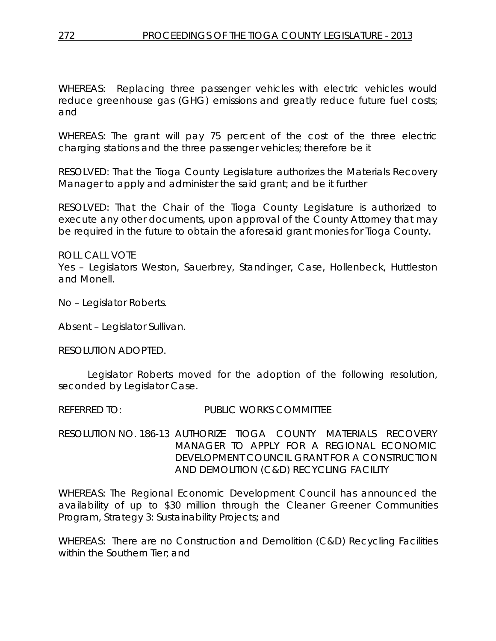WHEREAS: Replacing three passenger vehicles with electric vehicles would reduce greenhouse gas (GHG) emissions and greatly reduce future fuel costs; and

WHEREAS: The grant will pay 75 percent of the cost of the three electric charging stations and the three passenger vehicles; therefore be it

RESOLVED: That the Tioga County Legislature authorizes the Materials Recovery Manager to apply and administer the said grant; and be it further

RESOLVED: That the Chair of the Tioga County Legislature is authorized to execute any other documents, upon approval of the County Attorney that may be required in the future to obtain the aforesaid grant monies for Tioga County.

ROLL CALL VOTE Yes – Legislators Weston, Sauerbrey, Standinger, Case, Hollenbeck, Huttleston and Monell.

No – Legislator Roberts.

Absent – Legislator Sullivan.

RESOLUTION ADOPTED.

Legislator Roberts moved for the adoption of the following resolution, seconded by Legislator Case.

REFERRED TO: PUBLIC WORKS COMMITTEE

RESOLUTION NO. 186-13 *AUTHORIZE TIOGA COUNTY MATERIALS RECOVERY MANAGER TO APPLY FOR A REGIONAL ECONOMIC DEVELOPMENT COUNCIL GRANT FOR A CONSTRUCTION AND DEMOLITION (C&D) RECYCLING FACILITY*

WHEREAS: The Regional Economic Development Council has announced the availability of up to \$30 million through the Cleaner Greener Communities Program, Strategy 3: Sustainability Projects; and

WHEREAS: There are no Construction and Demolition (C&D) Recycling Facilities within the Southern Tier; and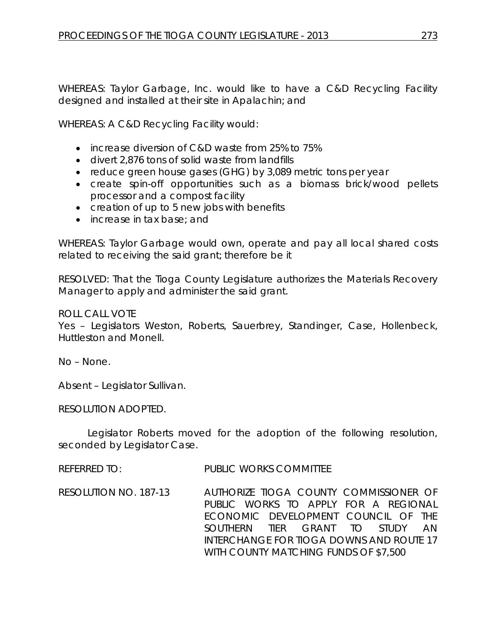WHEREAS: Taylor Garbage, Inc. would like to have a C&D Recycling Facility designed and installed at their site in Apalachin; and

WHEREAS: A C&D Recycling Facility would:

- increase diversion of C&D waste from 25% to 75%
- divert 2,876 tons of solid waste from landfills
- reduce green house gases (GHG) by 3,089 metric tons per year
- create spin-off opportunities such as a biomass brick/wood pellets processor and a compost facility
- creation of up to 5 new jobs with benefits
- increase in tax base; and

WHEREAS: Taylor Garbage would own, operate and pay all local shared costs related to receiving the said grant; therefore be it

RESOLVED: That the Tioga County Legislature authorizes the Materials Recovery Manager to apply and administer the said grant.

ROLL CALL VOTE

Yes – Legislators Weston, Roberts, Sauerbrey, Standinger, Case, Hollenbeck, Huttleston and Monell.

No – None.

Absent – Legislator Sullivan.

RESOLUTION ADOPTED.

Legislator Roberts moved for the adoption of the following resolution, seconded by Legislator Case.

REFERRED TO: PUBLIC WORKS COMMITTEE

RESOLUTION NO. 187-13 *AUTHORIZE TIOGA COUNTY COMMISSIONER OF PUBLIC WORKS TO APPLY FOR A REGIONAL ECONOMIC DEVELOPMENT COUNCIL OF THE SOUTHERN TIER GRANT TO STUDY AN INTERCHANGE FOR TIOGA DOWNS AND ROUTE 17 WITH COUNTY MATCHING FUNDS OF \$7,500*